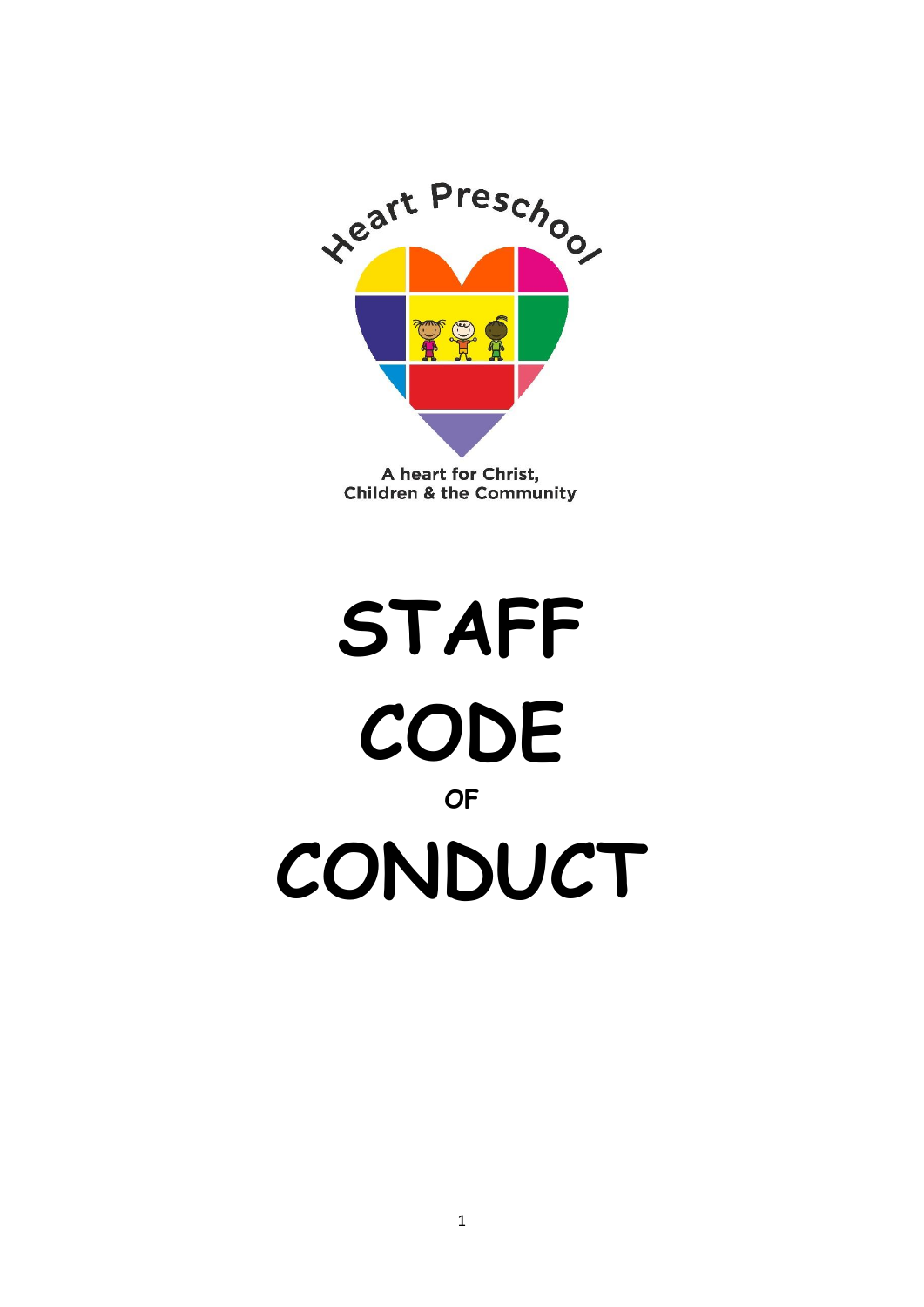

**Children & the Community** 

# **STAFF CODE OF CONDUCT**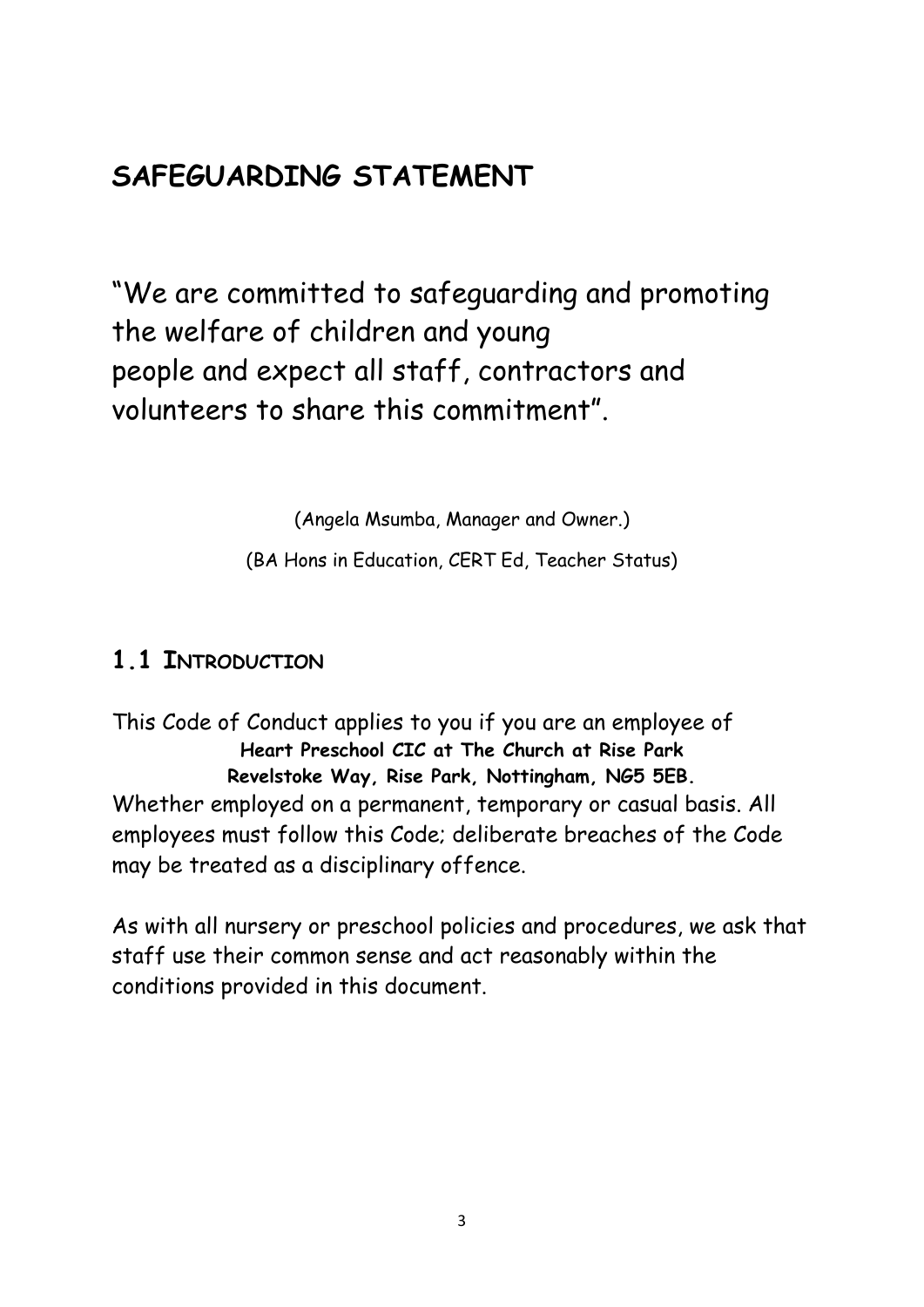# **SAFEGUARDING STATEMENT**

"We are committed to safeguarding and promoting the welfare of children and young people and expect all staff, contractors and volunteers to share this commitment".

(Angela Msumba, Manager and Owner.)

(BA Hons in Education, CERT Ed, Teacher Status)

#### **1.1 INTRODUCTION**

This Code of Conduct applies to you if you are an employee of **Heart Preschool CIC at The Church at Rise Park Revelstoke Way, Rise Park, Nottingham, NG5 5EB.** Whether employed on a permanent, temporary or casual basis. All employees must follow this Code; deliberate breaches of the Code may be treated as a disciplinary offence.

As with all nursery or preschool policies and procedures, we ask that staff use their common sense and act reasonably within the conditions provided in this document.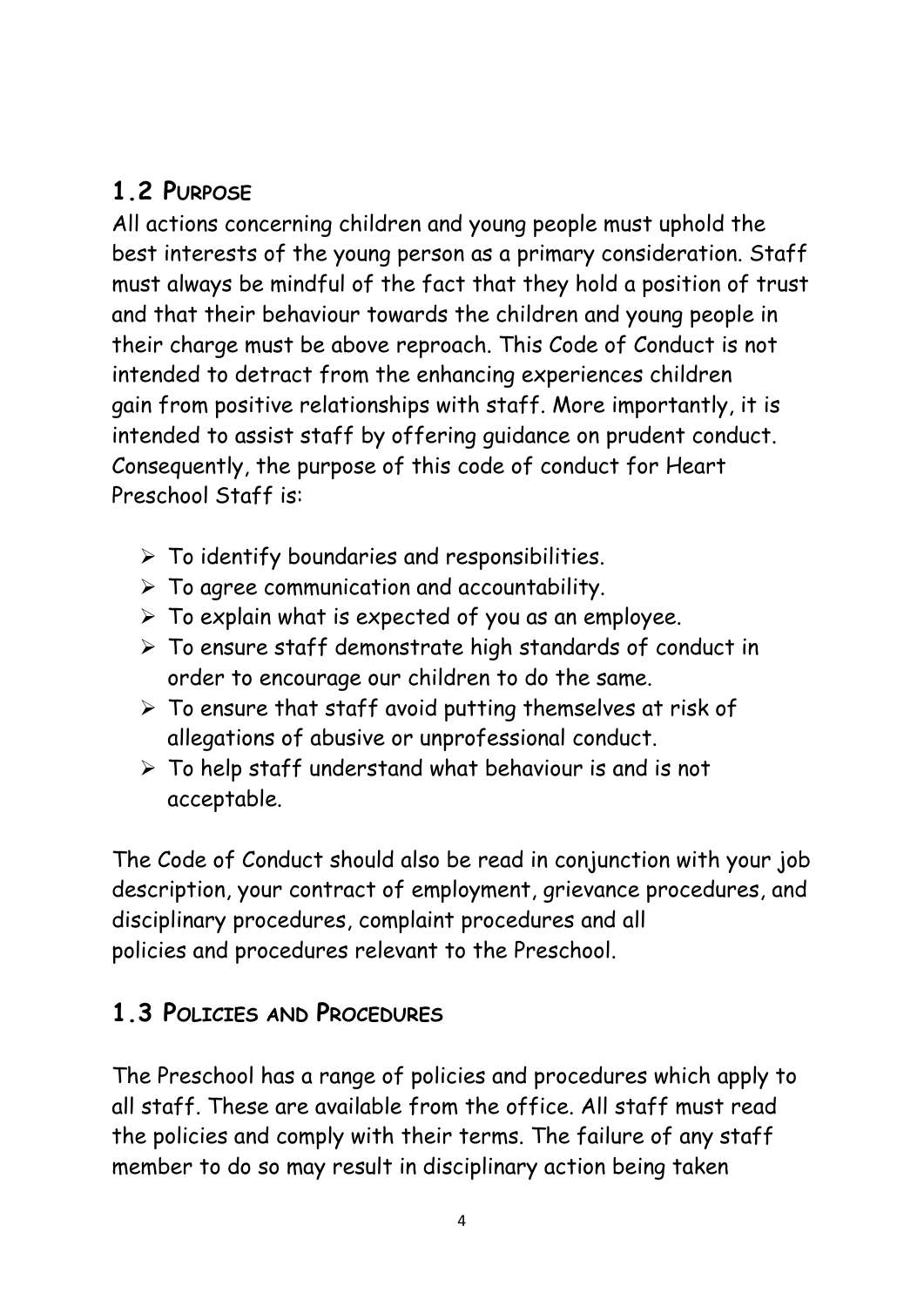## **1.2 PURPOSE**

All actions concerning children and young people must uphold the best interests of the young person as a primary consideration. Staff must always be mindful of the fact that they hold a position of trust and that their behaviour towards the children and young people in their charge must be above reproach. This Code of Conduct is not intended to detract from the enhancing experiences children gain from positive relationships with staff. More importantly, it is intended to assist staff by offering guidance on prudent conduct. Consequently, the purpose of this code of conduct for Heart Preschool Staff is:

- $\triangleright$  To identify boundaries and responsibilities.
- $\triangleright$  To agree communication and accountability.
- $\triangleright$  To explain what is expected of you as an employee.
- ➢ To ensure staff demonstrate high standards of conduct in order to encourage our children to do the same.
- $\triangleright$  To ensure that staff avoid putting themselves at risk of allegations of abusive or unprofessional conduct.
- ➢ To help staff understand what behaviour is and is not acceptable.

The Code of Conduct should also be read in conjunction with your job description, your contract of employment, grievance procedures, and disciplinary procedures, complaint procedures and all policies and procedures relevant to the Preschool.

## **1.3 POLICIES AND PROCEDURES**

The Preschool has a range of policies and procedures which apply to all staff. These are available from the office. All staff must read the policies and comply with their terms. The failure of any staff member to do so may result in disciplinary action being taken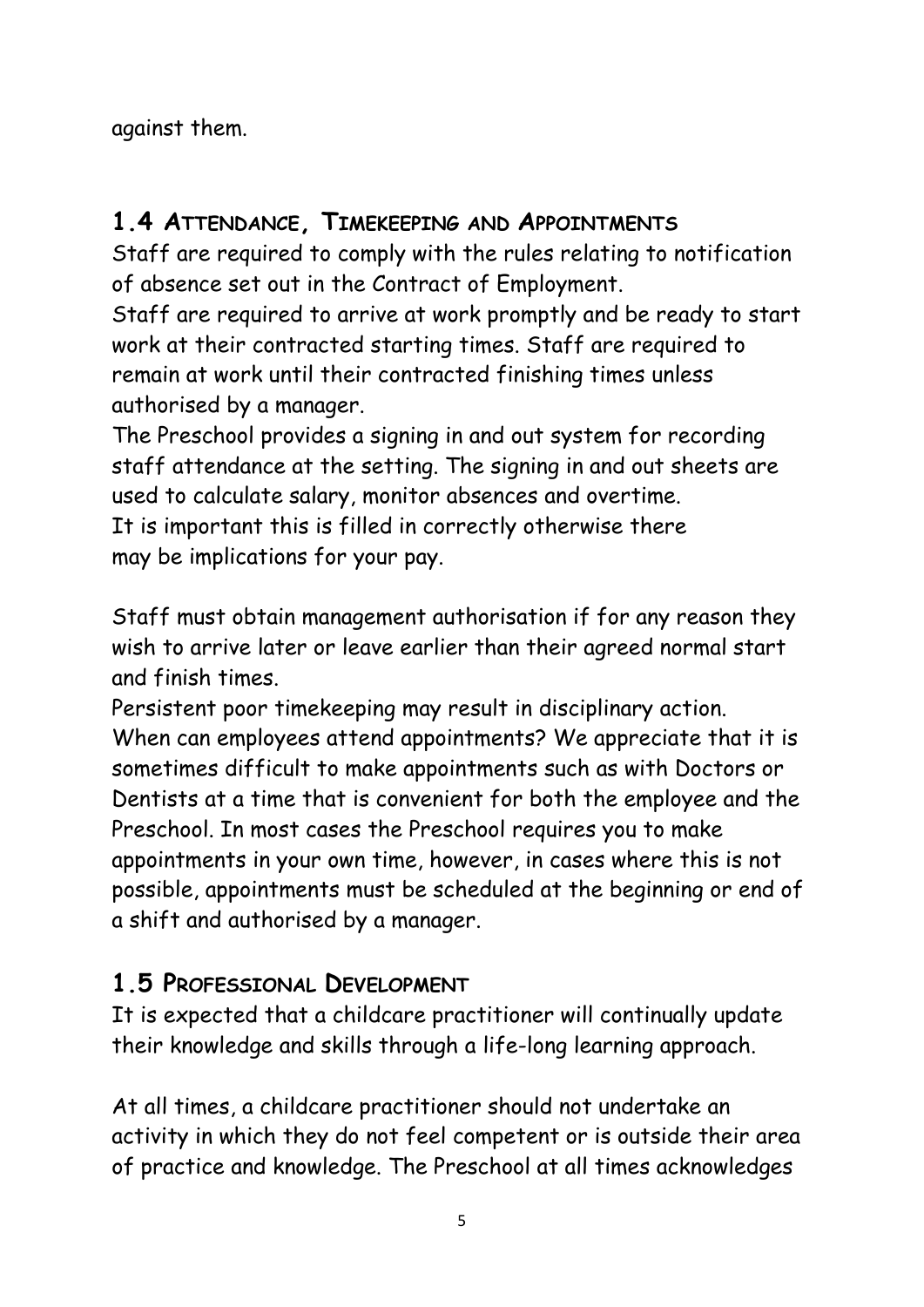against them.

#### **1.4 ATTENDANCE, TIMEKEEPING AND APPOINTMENTS**

Staff are required to comply with the rules relating to notification of absence set out in the Contract of Employment.

Staff are required to arrive at work promptly and be ready to start work at their contracted starting times. Staff are required to remain at work until their contracted finishing times unless authorised by a manager.

The Preschool provides a signing in and out system for recording staff attendance at the setting. The signing in and out sheets are used to calculate salary, monitor absences and overtime. It is important this is filled in correctly otherwise there may be implications for your pay.

Staff must obtain management authorisation if for any reason they wish to arrive later or leave earlier than their agreed normal start and finish times.

Persistent poor timekeeping may result in disciplinary action. When can employees attend appointments? We appreciate that it is sometimes difficult to make appointments such as with Doctors or Dentists at a time that is convenient for both the employee and the Preschool. In most cases the Preschool requires you to make appointments in your own time, however, in cases where this is not possible, appointments must be scheduled at the beginning or end of a shift and authorised by a manager.

#### **1.5 PROFESSIONAL DEVELOPMENT**

It is expected that a childcare practitioner will continually update their knowledge and skills through a life-long learning approach.

At all times, a childcare practitioner should not undertake an activity in which they do not feel competent or is outside their area of practice and knowledge. The Preschool at all times acknowledges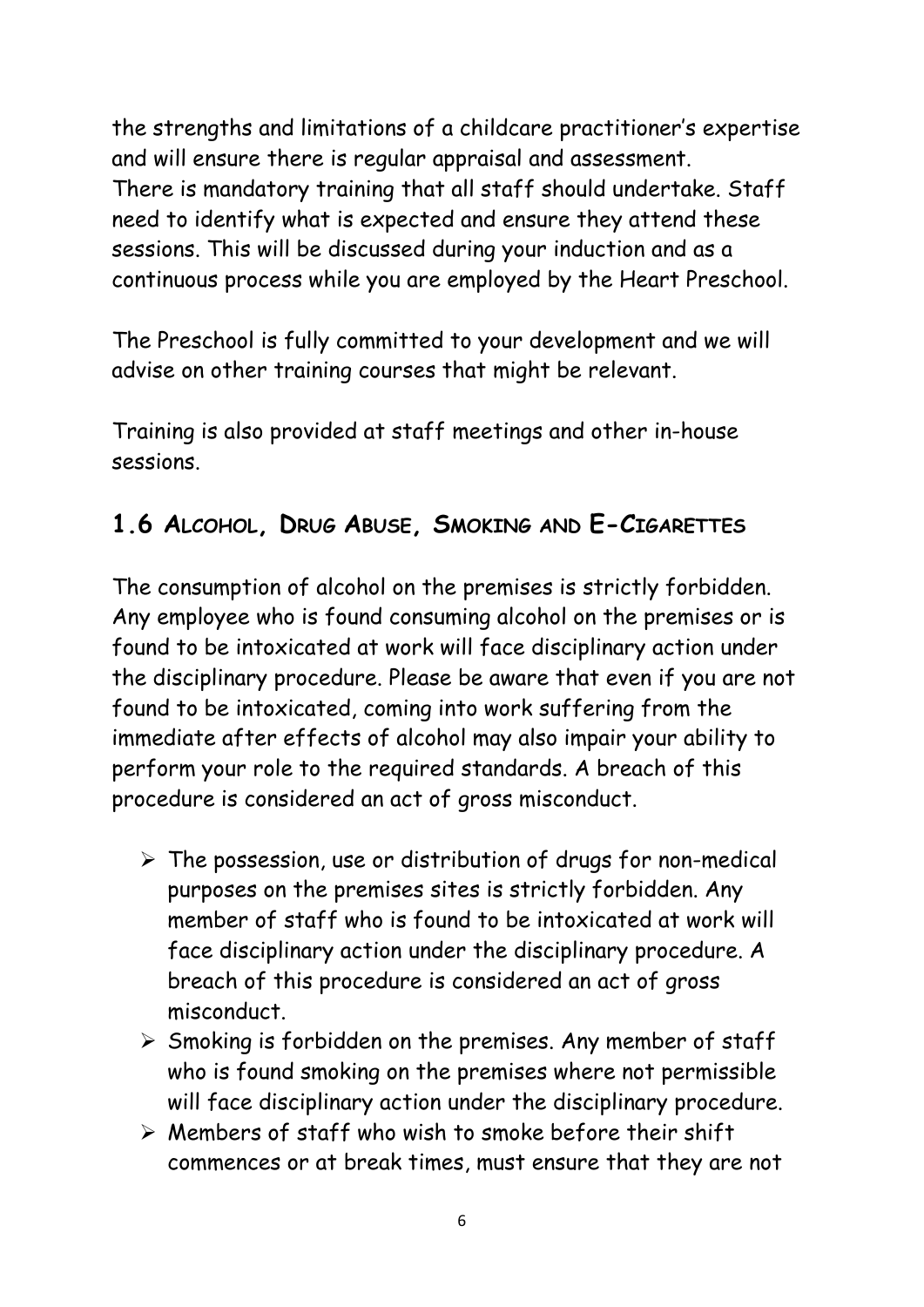the strengths and limitations of a childcare practitioner's expertise and will ensure there is regular appraisal and assessment. There is mandatory training that all staff should undertake. Staff need to identify what is expected and ensure they attend these sessions. This will be discussed during your induction and as a continuous process while you are employed by the Heart Preschool.

The Preschool is fully committed to your development and we will advise on other training courses that might be relevant.

Training is also provided at staff meetings and other in-house sessions.

## **1.6 ALCOHOL, DRUG ABUSE, SMOKING AND E-CIGARETTES**

The consumption of alcohol on the premises is strictly forbidden. Any employee who is found consuming alcohol on the premises or is found to be intoxicated at work will face disciplinary action under the disciplinary procedure. Please be aware that even if you are not found to be intoxicated, coming into work suffering from the immediate after effects of alcohol may also impair your ability to perform your role to the required standards. A breach of this procedure is considered an act of gross misconduct.

- ➢ The possession, use or distribution of drugs for non-medical purposes on the premises sites is strictly forbidden. Any member of staff who is found to be intoxicated at work will face disciplinary action under the disciplinary procedure. A breach of this procedure is considered an act of gross misconduct.
- ➢ Smoking is forbidden on the premises. Any member of staff who is found smoking on the premises where not permissible will face disciplinary action under the disciplinary procedure.
- ➢ Members of staff who wish to smoke before their shift commences or at break times, must ensure that they are not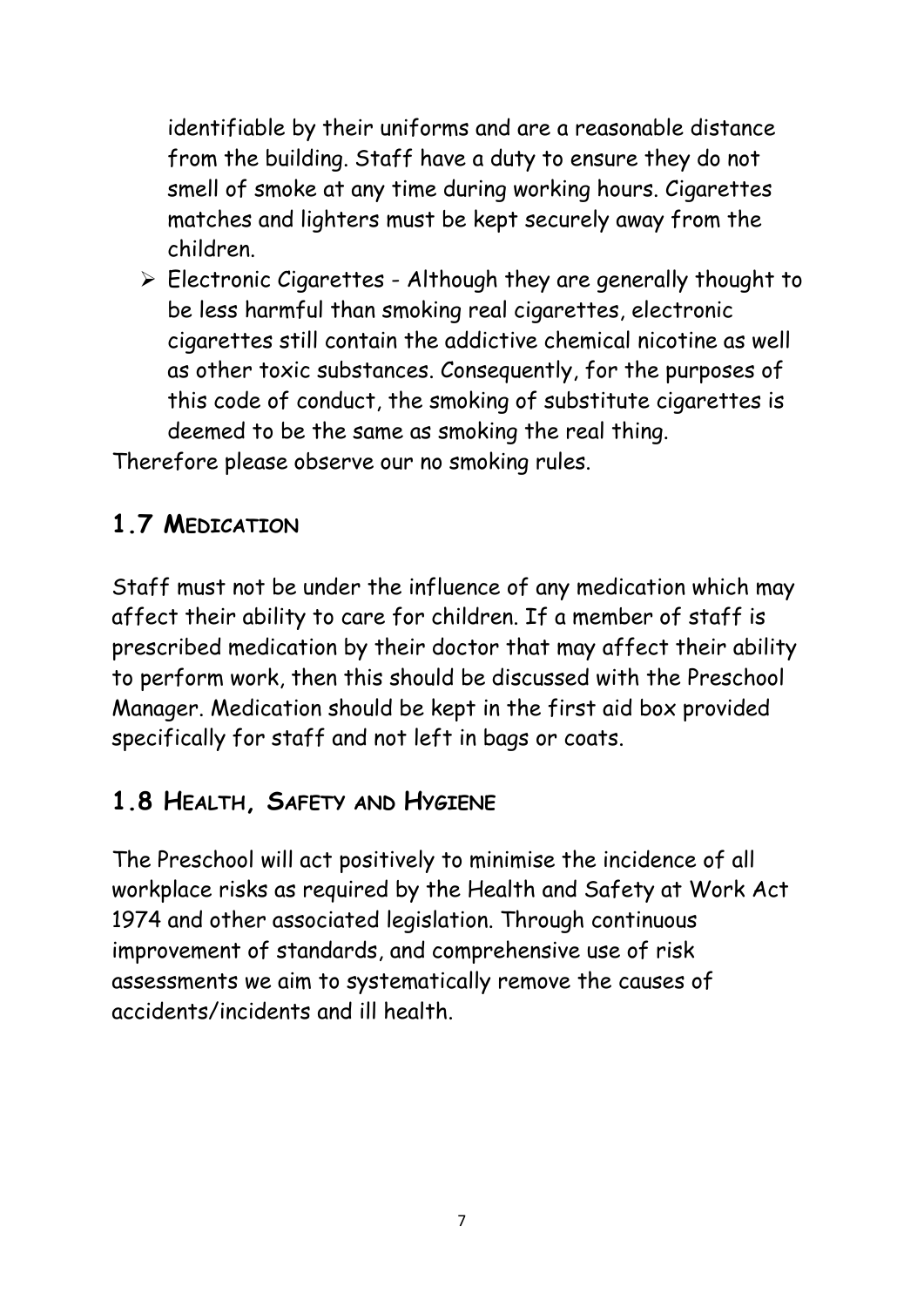identifiable by their uniforms and are a reasonable distance from the building. Staff have a duty to ensure they do not smell of smoke at any time during working hours. Cigarettes matches and lighters must be kept securely away from the children.

➢ Electronic Cigarettes - Although they are generally thought to be less harmful than smoking real cigarettes, electronic cigarettes still contain the addictive chemical nicotine as well as other toxic substances. Consequently, for the purposes of this code of conduct, the smoking of substitute cigarettes is deemed to be the same as smoking the real thing.

Therefore please observe our no smoking rules.

## **1.7 MEDICATION**

Staff must not be under the influence of any medication which may affect their ability to care for children. If a member of staff is prescribed medication by their doctor that may affect their ability to perform work, then this should be discussed with the Preschool Manager. Medication should be kept in the first aid box provided specifically for staff and not left in bags or coats.

#### **1.8 HEALTH, SAFETY AND HYGIENE**

The Preschool will act positively to minimise the incidence of all workplace risks as required by the Health and Safety at Work Act 1974 and other associated legislation. Through continuous improvement of standards, and comprehensive use of risk assessments we aim to systematically remove the causes of accidents/incidents and ill health.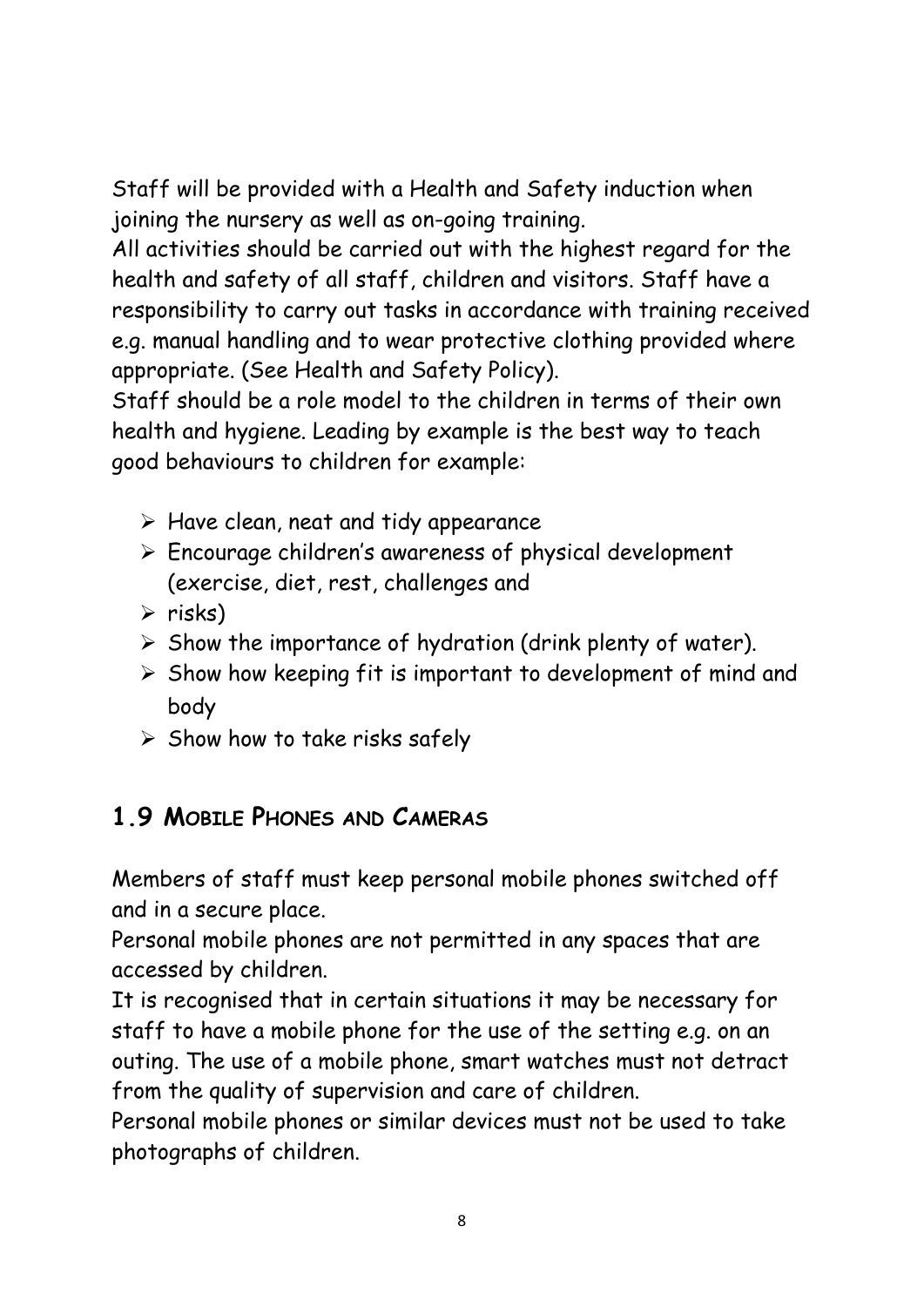Staff will be provided with a Health and Safety induction when joining the nursery as well as on-going training.

All activities should be carried out with the highest regard for the health and safety of all staff, children and visitors. Staff have a responsibility to carry out tasks in accordance with training received e.g. manual handling and to wear protective clothing provided where appropriate. (See Health and Safety Policy).

Staff should be a role model to the children in terms of their own health and hygiene. Leading by example is the best way to teach good behaviours to children for example:

- $\triangleright$  Have clean, neat and tidy appearance
- ➢ Encourage children's awareness of physical development (exercise, diet, rest, challenges and
- $\triangleright$  risks)
- $\triangleright$  Show the importance of hydration (drink plenty of water).
- ➢ Show how keeping fit is important to development of mind and body
- $\triangleright$  Show how to take risks safely

## **1.9 MOBILE PHONES AND CAMERAS**

Members of staff must keep personal mobile phones switched off and in a secure place.

Personal mobile phones are not permitted in any spaces that are accessed by children.

It is recognised that in certain situations it may be necessary for staff to have a mobile phone for the use of the setting e.g. on an outing. The use of a mobile phone, smart watches must not detract from the quality of supervision and care of children.

Personal mobile phones or similar devices must not be used to take photographs of children.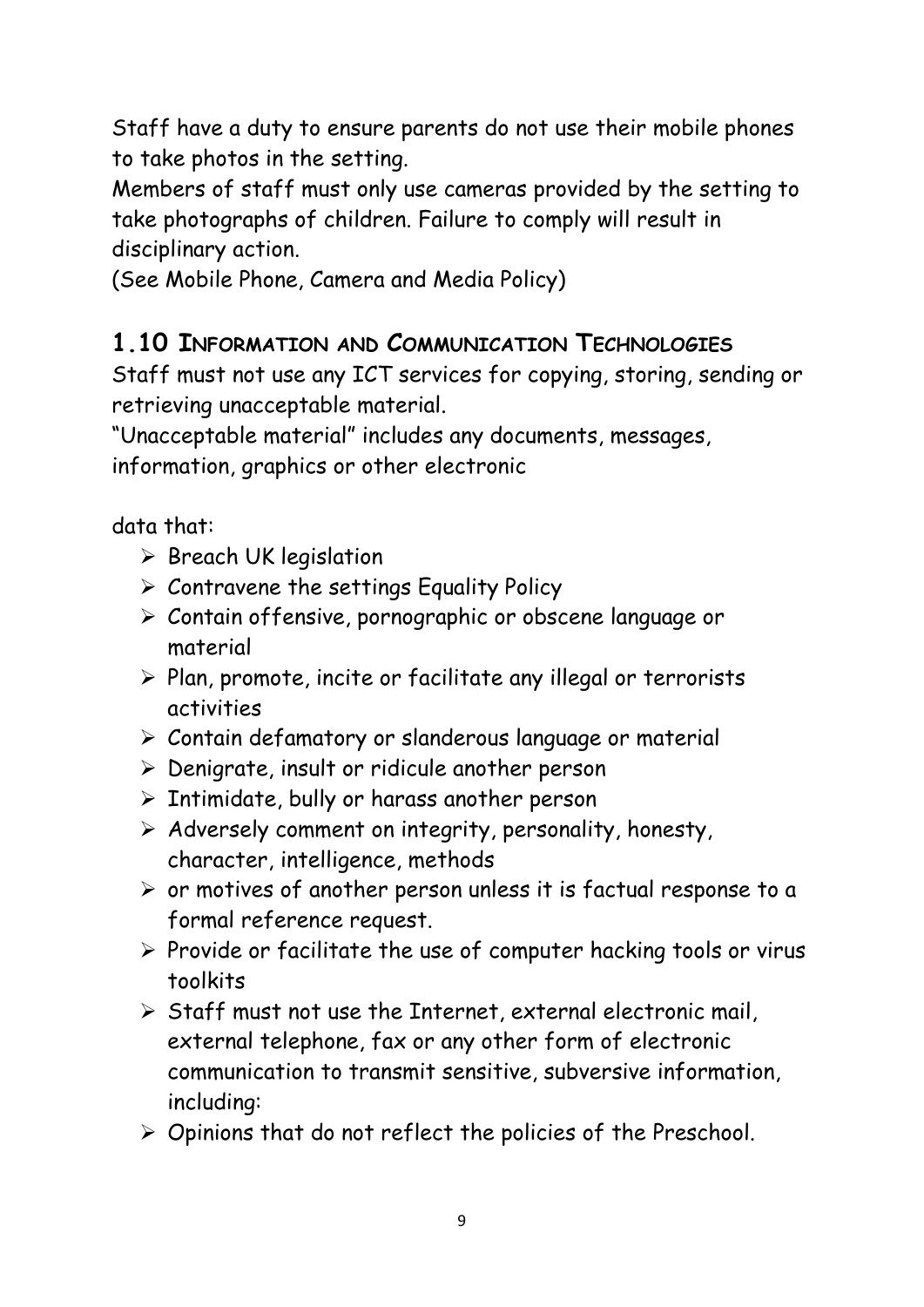Staff have a duty to ensure parents do not use their mobile phones to take photos in the setting.

Members of staff must only use cameras provided by the setting to take photographs of children. Failure to comply will result in disciplinary action.

(See Mobile Phone, Camera and Media Policy)

#### **1.10 INFORMATION AND COMMUNICATION TECHNOLOGIES**

Staff must not use any ICT services for copying, storing, sending or retrieving unacceptable material.

"Unacceptable material" includes any documents, messages, information, graphics or other electronic

data that:

- ➢ Breach UK legislation
- ➢ Contravene the settings Equality Policy
- ➢ Contain offensive, pornographic or obscene language or material
- ➢ Plan, promote, incite or facilitate any illegal or terrorists activities
- ➢ Contain defamatory or slanderous language or material
- ➢ Denigrate, insult or ridicule another person
- ➢ Intimidate, bully or harass another person
- ➢ Adversely comment on integrity, personality, honesty, character, intelligence, methods
- ➢ or motives of another person unless it is factual response to a formal reference request.
- ➢ Provide or facilitate the use of computer hacking tools or virus toolkits
- $\triangleright$  Staff must not use the Internet, external electronic mail, external telephone, fax or any other form of electronic communication to transmit sensitive, subversive information, including:
- ➢ Opinions that do not reflect the policies of the Preschool.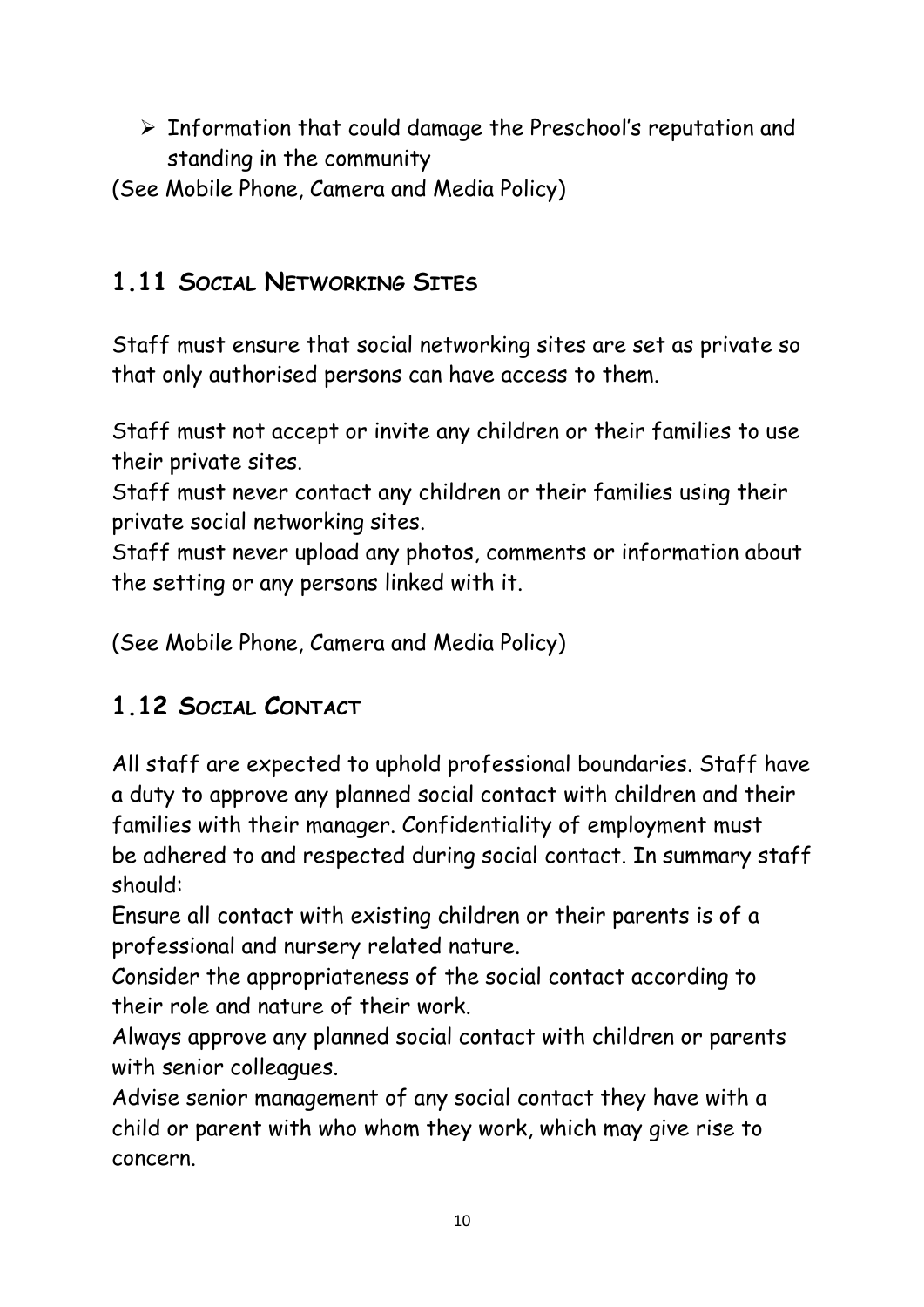$\triangleright$  Information that could damage the Preschool's reputation and standing in the community

(See Mobile Phone, Camera and Media Policy)

## **1.11 SOCIAL NETWORKING SITES**

Staff must ensure that social networking sites are set as private so that only authorised persons can have access to them.

Staff must not accept or invite any children or their families to use their private sites.

Staff must never contact any children or their families using their private social networking sites.

Staff must never upload any photos, comments or information about the setting or any persons linked with it.

(See Mobile Phone, Camera and Media Policy)

# **1.12 SOCIAL CONTACT**

All staff are expected to uphold professional boundaries. Staff have a duty to approve any planned social contact with children and their families with their manager. Confidentiality of employment must be adhered to and respected during social contact. In summary staff should:

Ensure all contact with existing children or their parents is of a professional and nursery related nature.

Consider the appropriateness of the social contact according to their role and nature of their work.

Always approve any planned social contact with children or parents with senior colleagues.

Advise senior management of any social contact they have with a child or parent with who whom they work, which may give rise to concern.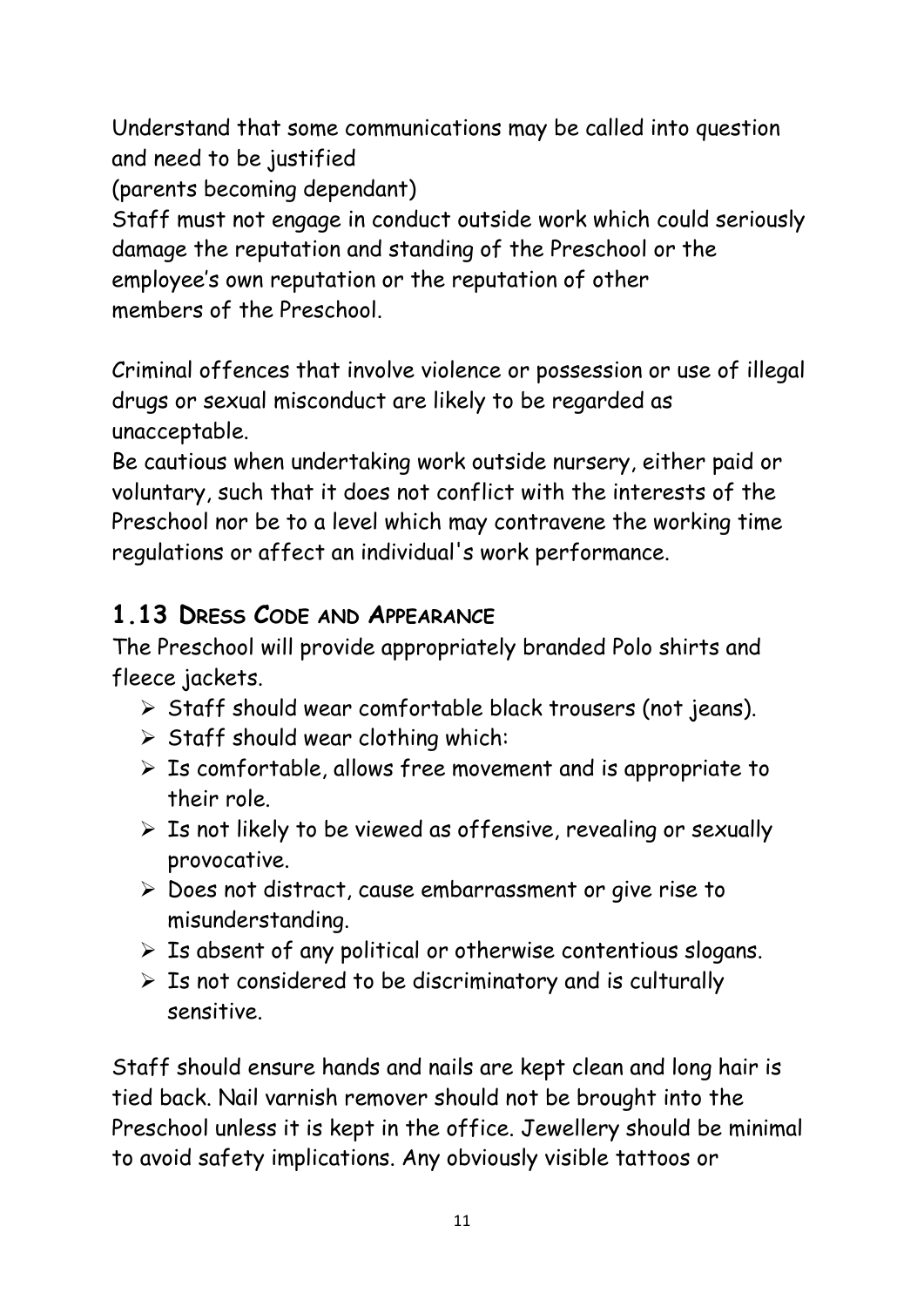Understand that some communications may be called into question and need to be justified

(parents becoming dependant)

Staff must not engage in conduct outside work which could seriously damage the reputation and standing of the Preschool or the employee's own reputation or the reputation of other members of the Preschool.

Criminal offences that involve violence or possession or use of illegal drugs or sexual misconduct are likely to be regarded as unacceptable.

Be cautious when undertaking work outside nursery, either paid or voluntary, such that it does not conflict with the interests of the Preschool nor be to a level which may contravene the working time regulations or affect an individual's work performance.

## **1.13 DRESS CODE AND APPEARANCE**

The Preschool will provide appropriately branded Polo shirts and fleece jackets.

- ➢ Staff should wear comfortable black trousers (not jeans).
- ➢ Staff should wear clothing which:
- $\triangleright$  Is comfortable, allows free movement and is appropriate to their role.
- $\triangleright$  Is not likely to be viewed as offensive, revealing or sexually provocative.
- ➢ Does not distract, cause embarrassment or give rise to misunderstanding.
- $\triangleright$  Is absent of any political or otherwise contentious slogans.
- $\triangleright$  Is not considered to be discriminatory and is culturally sensitive.

Staff should ensure hands and nails are kept clean and long hair is tied back. Nail varnish remover should not be brought into the Preschool unless it is kept in the office. Jewellery should be minimal to avoid safety implications. Any obviously visible tattoos or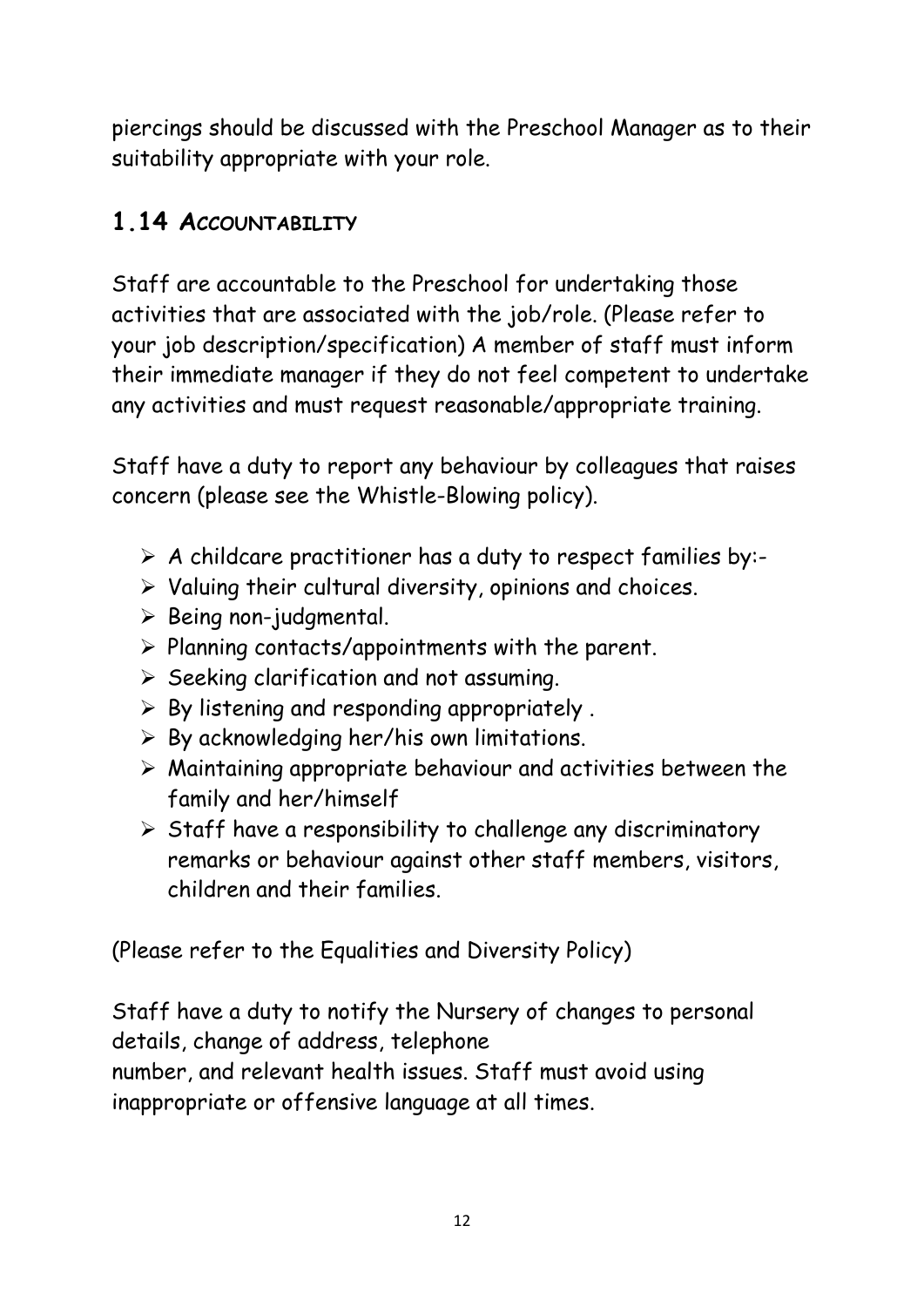piercings should be discussed with the Preschool Manager as to their suitability appropriate with your role.

## **1.14 ACCOUNTABILITY**

Staff are accountable to the Preschool for undertaking those activities that are associated with the job/role. (Please refer to your job description/specification) A member of staff must inform their immediate manager if they do not feel competent to undertake any activities and must request reasonable/appropriate training.

Staff have a duty to report any behaviour by colleagues that raises concern (please see the Whistle-Blowing policy).

- $\triangleright$  A childcare practitioner has a duty to respect families by:-
- ➢ Valuing their cultural diversity, opinions and choices.
- ➢ Being non-judgmental.
- $\triangleright$  Planning contacts/appointments with the parent.
- ➢ Seeking clarification and not assuming.
- $\triangleright$  By listening and responding appropriately.
- $\triangleright$  By acknowledging her/his own limitations.
- ➢ Maintaining appropriate behaviour and activities between the family and her/himself
- $\triangleright$  Staff have a responsibility to challenge any discriminatory remarks or behaviour against other staff members, visitors, children and their families.

(Please refer to the Equalities and Diversity Policy)

Staff have a duty to notify the Nursery of changes to personal details, change of address, telephone number, and relevant health issues. Staff must avoid using inappropriate or offensive language at all times.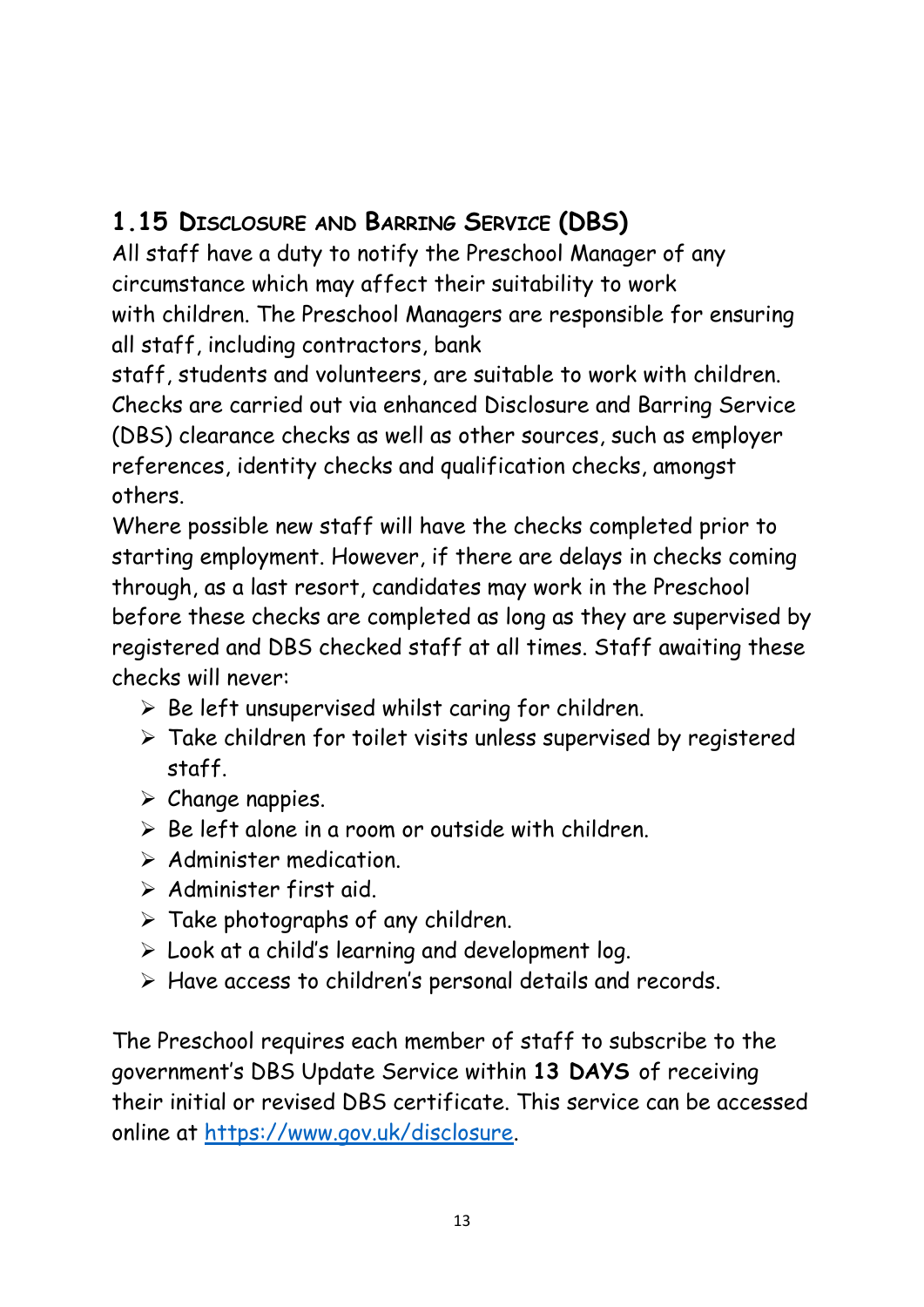## **1.15 DISCLOSURE AND BARRING SERVICE (DBS)**

All staff have a duty to notify the Preschool Manager of any circumstance which may affect their suitability to work with children. The Preschool Managers are responsible for ensuring all staff, including contractors, bank

staff, students and volunteers, are suitable to work with children. Checks are carried out via enhanced Disclosure and Barring Service (DBS) clearance checks as well as other sources, such as employer references, identity checks and qualification checks, amongst others.

Where possible new staff will have the checks completed prior to starting employment. However, if there are delays in checks coming through, as a last resort, candidates may work in the Preschool before these checks are completed as long as they are supervised by registered and DBS checked staff at all times. Staff awaiting these checks will never:

- $\triangleright$  Be left unsupervised whilst caring for children.
- ➢ Take children for toilet visits unless supervised by registered staff.
- ➢ Change nappies.
- $\triangleright$  Be left alone in a room or outside with children.
- ➢ Administer medication.
- ➢ Administer first aid.
- $\triangleright$  Take photographs of any children.
- $\triangleright$  Look at a child's learning and development log.
- ➢ Have access to children's personal details and records.

The Preschool requires each member of staff to subscribe to the government's DBS Update Service within **13 DAYS** of receiving their initial or revised DBS certificate. This service can be accessed online at [https://www.gov.uk/disclosure.](https://www.gov.uk/disclosure)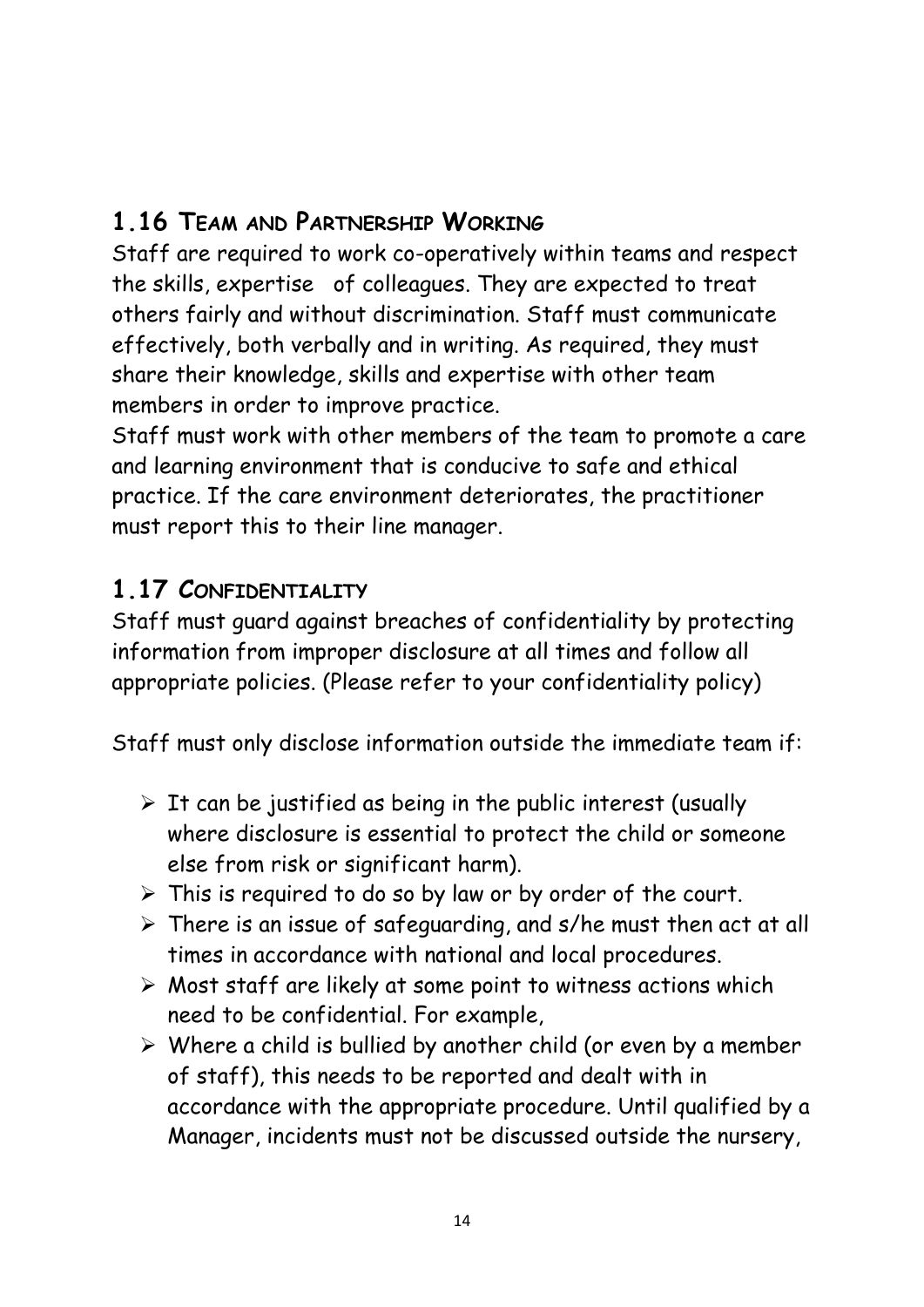## **1.16 TEAM AND PARTNERSHIP WORKING**

Staff are required to work co-operatively within teams and respect the skills, expertise of colleagues. They are expected to treat others fairly and without discrimination. Staff must communicate effectively, both verbally and in writing. As required, they must share their knowledge, skills and expertise with other team members in order to improve practice.

Staff must work with other members of the team to promote a care and learning environment that is conducive to safe and ethical practice. If the care environment deteriorates, the practitioner must report this to their line manager.

#### **1.17 CONFIDENTIALITY**

Staff must guard against breaches of confidentiality by protecting information from improper disclosure at all times and follow all appropriate policies. (Please refer to your confidentiality policy)

Staff must only disclose information outside the immediate team if:

- $\triangleright$  It can be justified as being in the public interest (usually where disclosure is essential to protect the child or someone else from risk or significant harm).
- $\triangleright$  This is required to do so by law or by order of the court.
- $\triangleright$  There is an issue of safeguarding, and s/he must then act at all times in accordance with national and local procedures.
- ➢ Most staff are likely at some point to witness actions which need to be confidential. For example,
- $\triangleright$  Where a child is bullied by another child (or even by a member of staff), this needs to be reported and dealt with in accordance with the appropriate procedure. Until qualified by a Manager, incidents must not be discussed outside the nursery,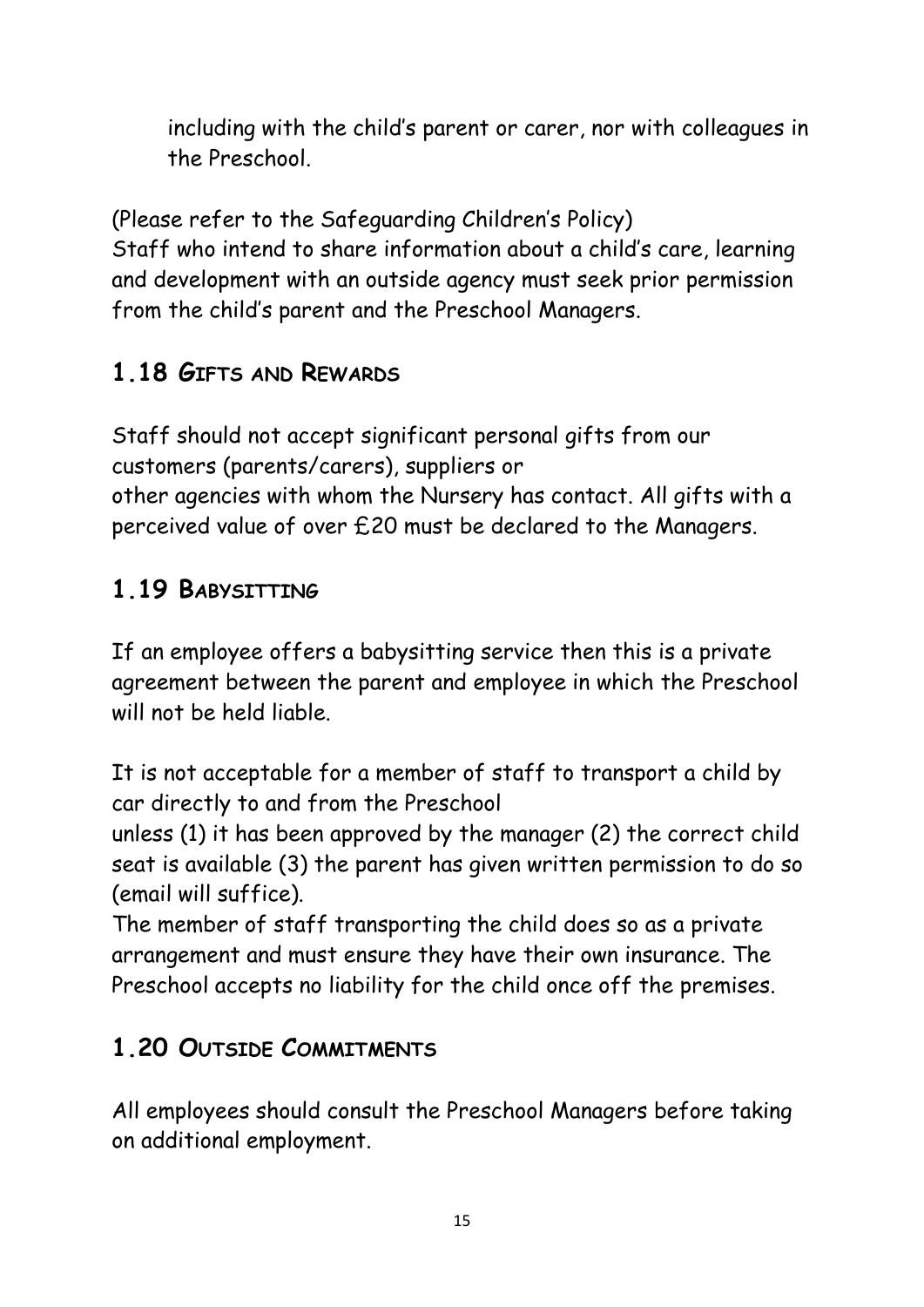including with the child's parent or carer, nor with colleagues in the Preschool.

(Please refer to the Safeguarding Children's Policy) Staff who intend to share information about a child's care, learning and development with an outside agency must seek prior permission from the child's parent and the Preschool Managers.

# **1.18 GIFTS AND REWARDS**

Staff should not accept significant personal gifts from our customers (parents/carers), suppliers or other agencies with whom the Nursery has contact. All gifts with a perceived value of over £20 must be declared to the Managers.

# **1.19 BABYSITTING**

If an employee offers a babysitting service then this is a private agreement between the parent and employee in which the Preschool will not be held liable.

It is not acceptable for a member of staff to transport a child by car directly to and from the Preschool

unless (1) it has been approved by the manager (2) the correct child seat is available (3) the parent has given written permission to do so (email will suffice).

The member of staff transporting the child does so as a private arrangement and must ensure they have their own insurance. The Preschool accepts no liability for the child once off the premises.

# **1.20 OUTSIDE COMMITMENTS**

All employees should consult the Preschool Managers before taking on additional employment.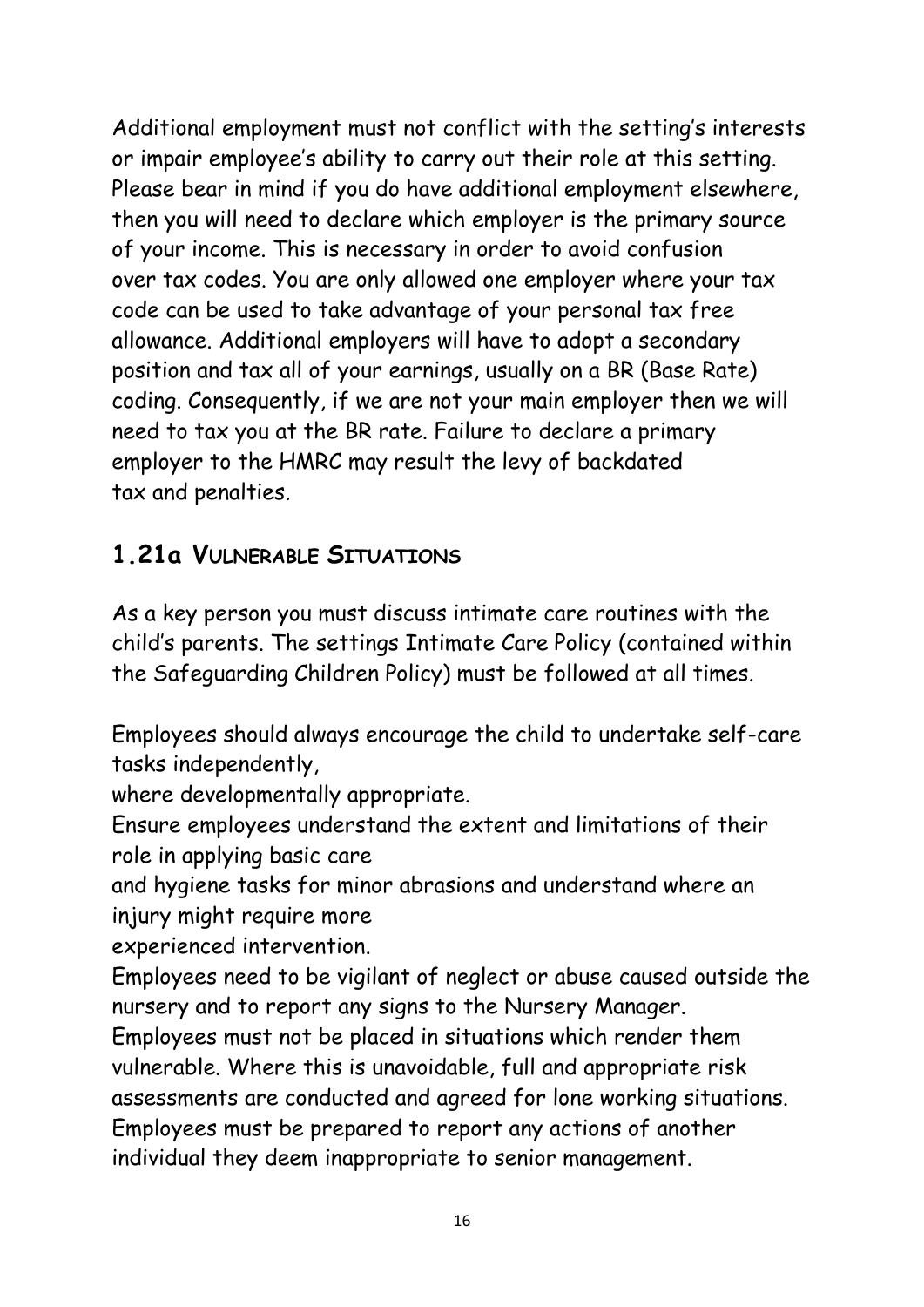Additional employment must not conflict with the setting's interests or impair employee's ability to carry out their role at this setting. Please bear in mind if you do have additional employment elsewhere, then you will need to declare which employer is the primary source of your income. This is necessary in order to avoid confusion over tax codes. You are only allowed one employer where your tax code can be used to take advantage of your personal tax free allowance. Additional employers will have to adopt a secondary position and tax all of your earnings, usually on a BR (Base Rate) coding. Consequently, if we are not your main employer then we will need to tax you at the BR rate. Failure to declare a primary employer to the HMRC may result the levy of backdated tax and penalties.

## **1.21a VULNERABLE SITUATIONS**

As a key person you must discuss intimate care routines with the child's parents. The settings Intimate Care Policy (contained within the Safeguarding Children Policy) must be followed at all times.

Employees should always encourage the child to undertake self-care tasks independently,

where developmentally appropriate.

Ensure employees understand the extent and limitations of their role in applying basic care

and hygiene tasks for minor abrasions and understand where an injury might require more

experienced intervention.

Employees need to be vigilant of neglect or abuse caused outside the nursery and to report any signs to the Nursery Manager.

Employees must not be placed in situations which render them vulnerable. Where this is unavoidable, full and appropriate risk assessments are conducted and agreed for lone working situations. Employees must be prepared to report any actions of another individual they deem inappropriate to senior management.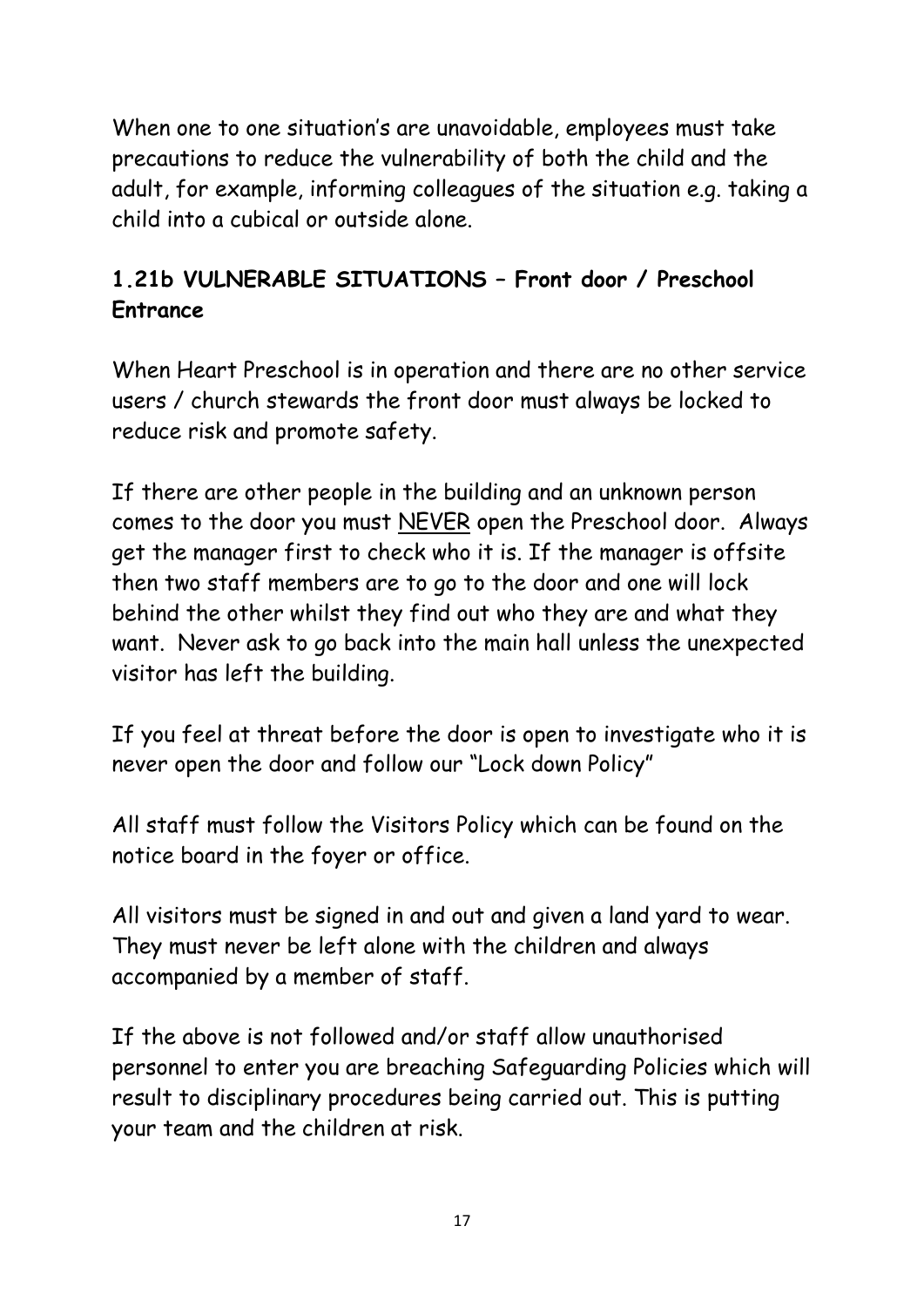When one to one situation's are unavoidable, employees must take precautions to reduce the vulnerability of both the child and the adult, for example, informing colleagues of the situation e.g. taking a child into a cubical or outside alone.

#### **1.21b VULNERABLE SITUATIONS – Front door / Preschool Entrance**

When Heart Preschool is in operation and there are no other service users / church stewards the front door must always be locked to reduce risk and promote safety.

If there are other people in the building and an unknown person comes to the door you must NEVER open the Preschool door. Always get the manager first to check who it is. If the manager is offsite then two staff members are to go to the door and one will lock behind the other whilst they find out who they are and what they want. Never ask to go back into the main hall unless the unexpected visitor has left the building.

If you feel at threat before the door is open to investigate who it is never open the door and follow our "Lock down Policy"

All staff must follow the Visitors Policy which can be found on the notice board in the foyer or office.

All visitors must be signed in and out and given a land yard to wear. They must never be left alone with the children and always accompanied by a member of staff.

If the above is not followed and/or staff allow unauthorised personnel to enter you are breaching Safeguarding Policies which will result to disciplinary procedures being carried out. This is putting your team and the children at risk.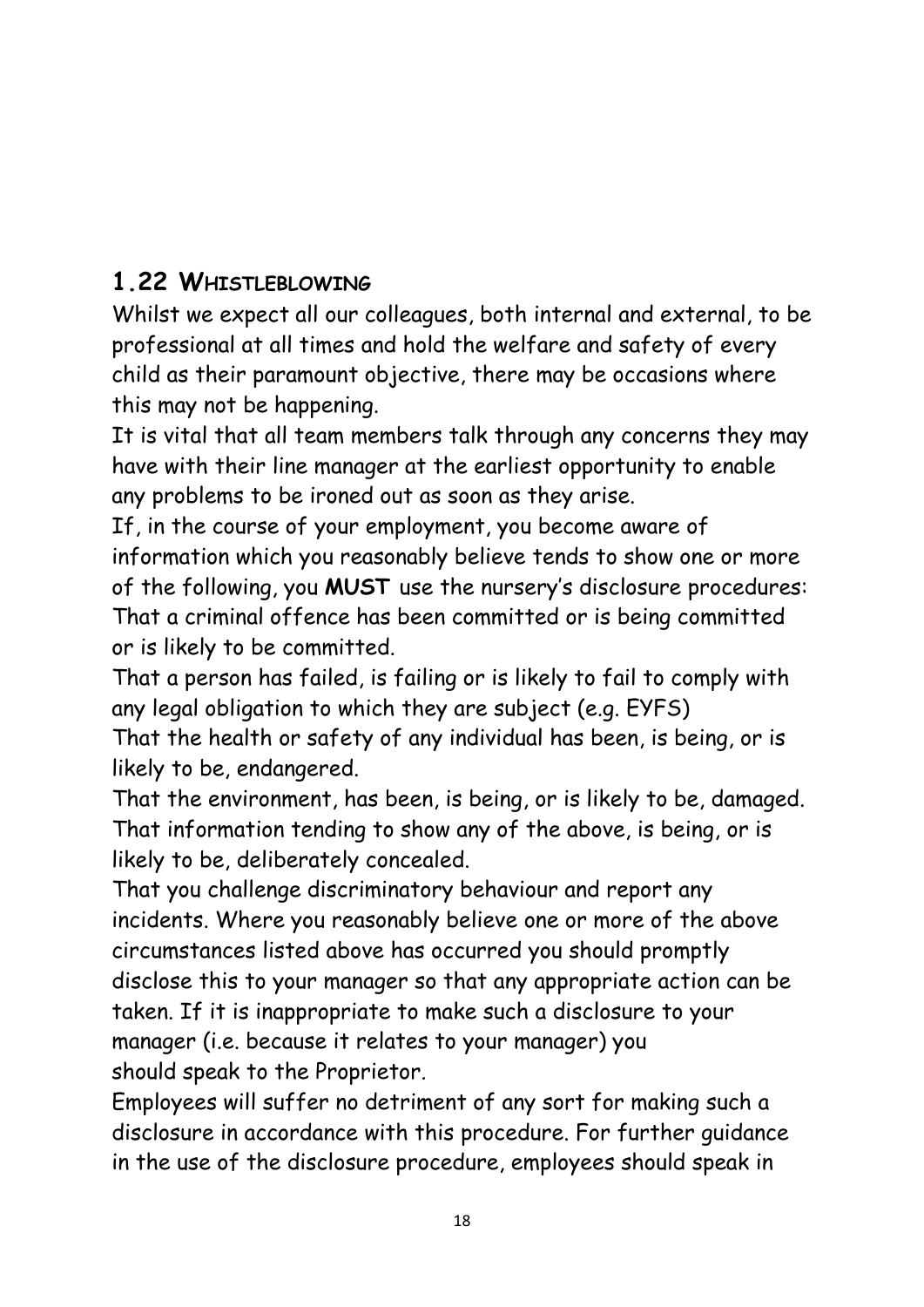## **1.22 WHISTLEBLOWING**

Whilst we expect all our colleagues, both internal and external, to be professional at all times and hold the welfare and safety of every child as their paramount objective, there may be occasions where this may not be happening.

It is vital that all team members talk through any concerns they may have with their line manager at the earliest opportunity to enable any problems to be ironed out as soon as they arise.

If, in the course of your employment, you become aware of information which you reasonably believe tends to show one or more of the following, you **MUST** use the nursery's disclosure procedures: That a criminal offence has been committed or is being committed or is likely to be committed.

That a person has failed, is failing or is likely to fail to comply with any legal obligation to which they are subject (e.g. EYFS)

That the health or safety of any individual has been, is being, or is likely to be, endangered.

That the environment, has been, is being, or is likely to be, damaged. That information tending to show any of the above, is being, or is likely to be, deliberately concealed.

That you challenge discriminatory behaviour and report any incidents. Where you reasonably believe one or more of the above circumstances listed above has occurred you should promptly disclose this to your manager so that any appropriate action can be taken. If it is inappropriate to make such a disclosure to your manager (i.e. because it relates to your manager) you should speak to the Proprietor*.*

Employees will suffer no detriment of any sort for making such a disclosure in accordance with this procedure. For further guidance in the use of the disclosure procedure, employees should speak in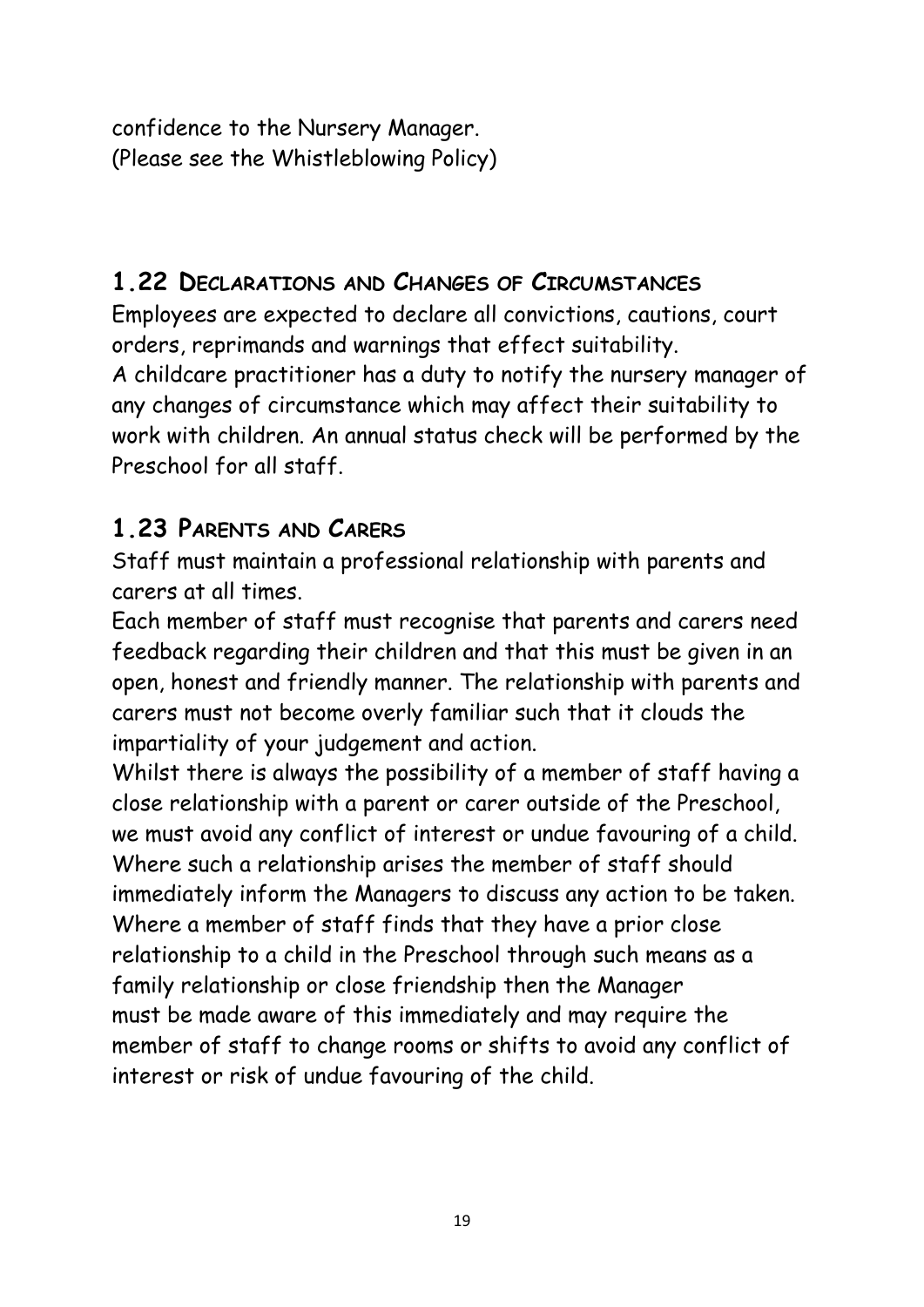confidence to the Nursery Manager. (Please see the Whistleblowing Policy)

#### **1.22 DECLARATIONS AND CHANGES OF CIRCUMSTANCES**

Employees are expected to declare all convictions, cautions, court orders, reprimands and warnings that effect suitability.

A childcare practitioner has a duty to notify the nursery manager of any changes of circumstance which may affect their suitability to work with children. An annual status check will be performed by the Preschool for all staff.

#### **1.23 PARENTS AND CARERS**

Staff must maintain a professional relationship with parents and carers at all times.

Each member of staff must recognise that parents and carers need feedback regarding their children and that this must be given in an open, honest and friendly manner. The relationship with parents and carers must not become overly familiar such that it clouds the impartiality of your judgement and action.

Whilst there is always the possibility of a member of staff having a close relationship with a parent or carer outside of the Preschool, we must avoid any conflict of interest or undue favouring of a child. Where such a relationship arises the member of staff should immediately inform the Managers to discuss any action to be taken. Where a member of staff finds that they have a prior close relationship to a child in the Preschool through such means as a family relationship or close friendship then the Manager must be made aware of this immediately and may require the member of staff to change rooms or shifts to avoid any conflict of interest or risk of undue favouring of the child.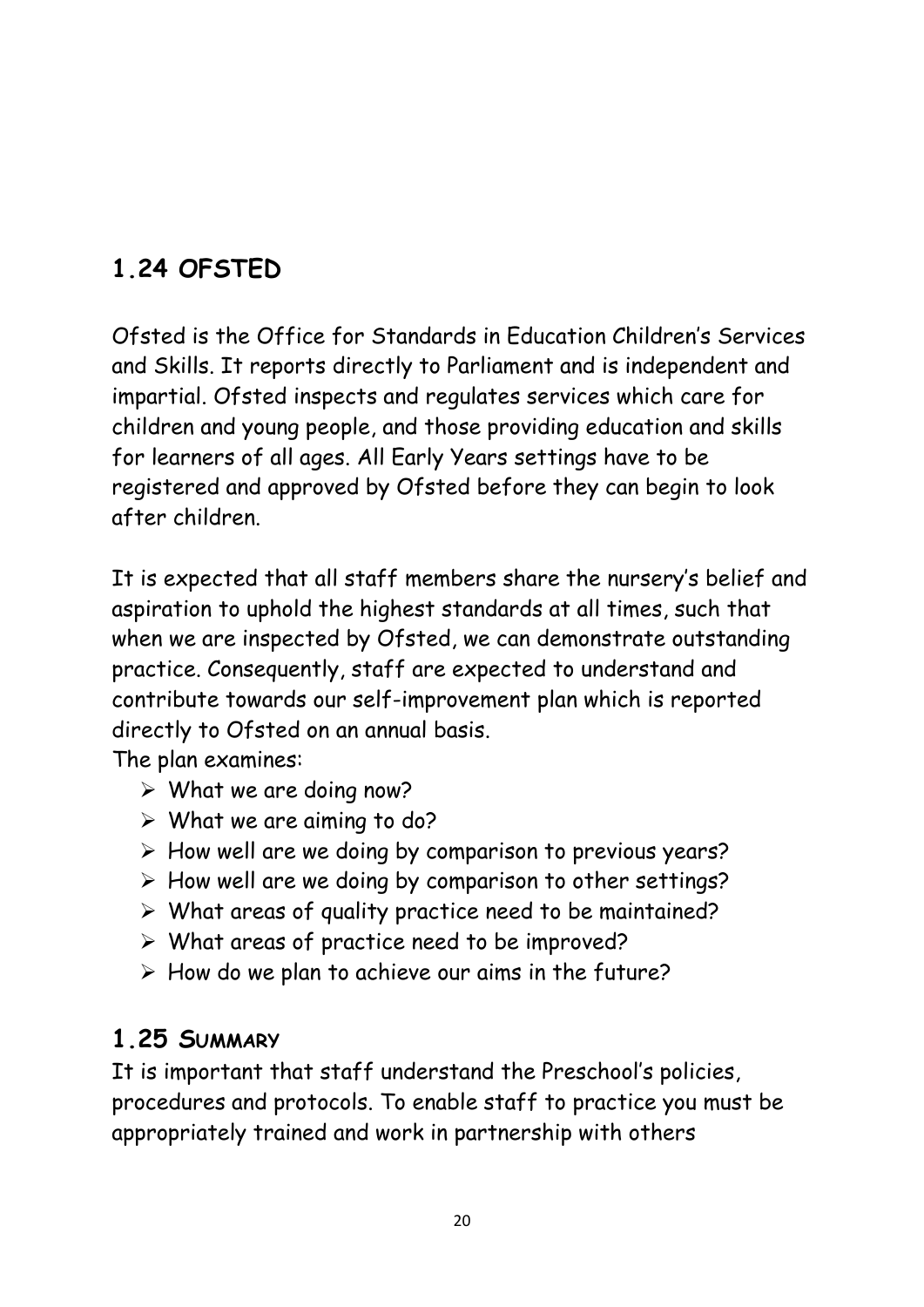# **1.24 OFSTED**

Ofsted is the Office for Standards in Education Children's Services and Skills. It reports directly to Parliament and is independent and impartial. Ofsted inspects and regulates services which care for children and young people, and those providing education and skills for learners of all ages. All Early Years settings have to be registered and approved by Ofsted before they can begin to look after children.

It is expected that all staff members share the nursery's belief and aspiration to uphold the highest standards at all times, such that when we are inspected by Ofsted, we can demonstrate outstanding practice. Consequently, staff are expected to understand and contribute towards our self-improvement plan which is reported directly to Ofsted on an annual basis.

The plan examines:

- $\triangleright$  What we are doing now?
- $\triangleright$  What we are aiming to do?
- ➢ How well are we doing by comparison to previous years?
- ➢ How well are we doing by comparison to other settings?
- ➢ What areas of quality practice need to be maintained?
- $\triangleright$  What areas of practice need to be improved?
- ➢ How do we plan to achieve our aims in the future?

#### **1.25 SUMMARY**

It is important that staff understand the Preschool's policies, procedures and protocols. To enable staff to practice you must be appropriately trained and work in partnership with others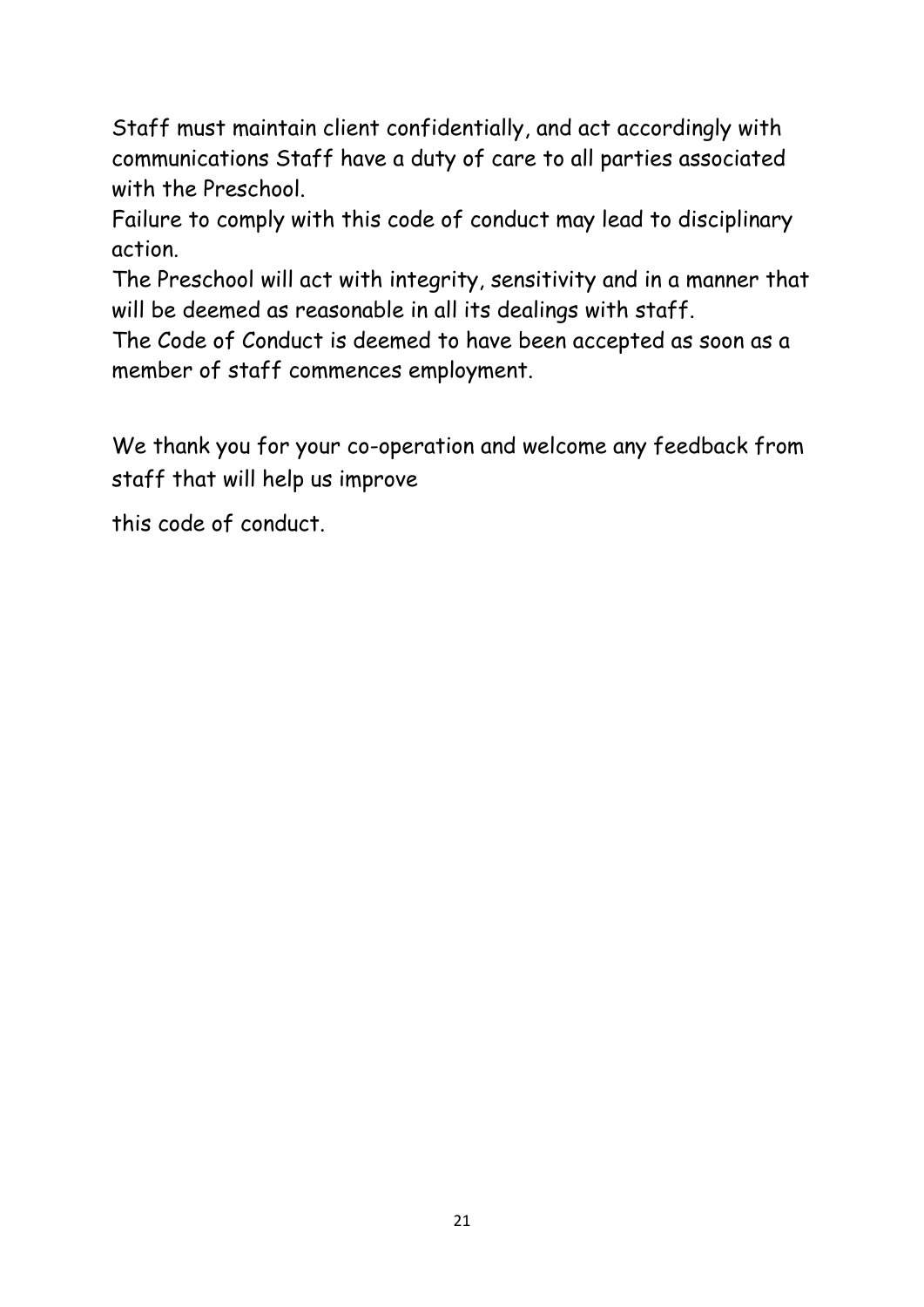Staff must maintain client confidentially, and act accordingly with communications Staff have a duty of care to all parties associated with the Preschool.

Failure to comply with this code of conduct may lead to disciplinary action.

The Preschool will act with integrity, sensitivity and in a manner that will be deemed as reasonable in all its dealings with staff.

The Code of Conduct is deemed to have been accepted as soon as a member of staff commences employment.

We thank you for your co-operation and welcome any feedback from staff that will help us improve

this code of conduct.